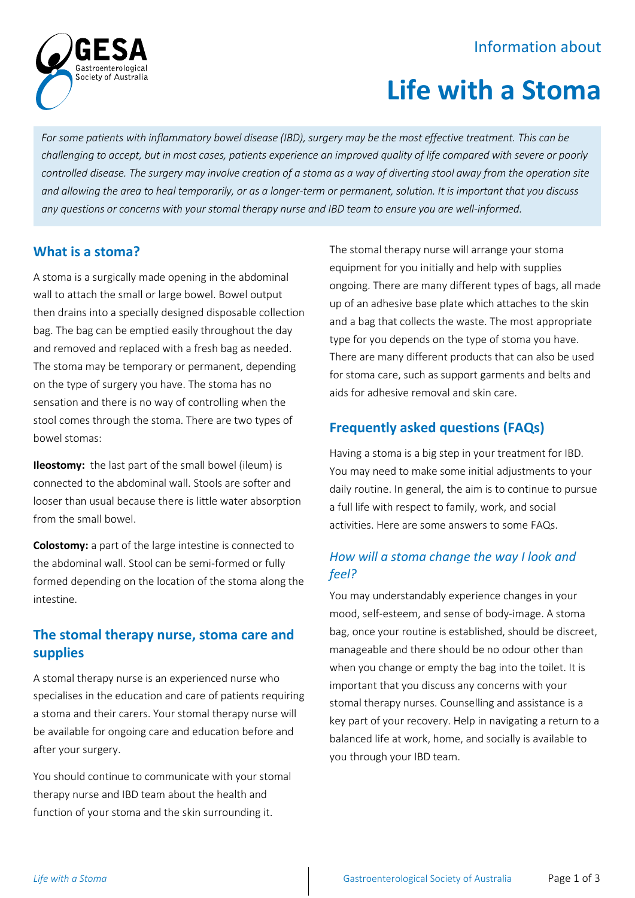# Information about



# **Life with a Stoma**

*For some patients with inflammatory bowel disease (IBD), surgery may be the most effective treatment. This can be challenging to accept, but in most cases, patients experience an improved quality of life compared with severe or poorly controlled disease. The surgery may involve creation of a stoma as a way of diverting stool away from the operation site and allowing the area to heal temporarily, or as a longer-term or permanent, solution. It is important that you discuss any questions or concerns with your stomal therapy nurse and IBD team to ensure you are well-informed.*

#### **What is a stoma?**

A stoma is a surgically made opening in the abdominal wall to attach the small or large bowel. Bowel output then drains into a specially designed disposable collection bag. The bag can be emptied easily throughout the day and removed and replaced with a fresh bag as needed. The stoma may be temporary or permanent, depending on the type of surgery you have. The stoma has no sensation and there is no way of controlling when the stool comes through the stoma. There are two types of bowel stomas:

**Ileostomy:** the last part of the small bowel (ileum) is connected to the abdominal wall. Stools are softer and looser than usual because there is little water absorption from the small bowel.

**Colostomy:** a part of the large intestine is connected to the abdominal wall. Stool can be semi-formed or fully formed depending on the location of the stoma along the intestine.

### **The stomal therapy nurse, stoma care and supplies**

A stomal therapy nurse is an experienced nurse who specialises in the education and care of patients requiring a stoma and their carers. Your stomal therapy nurse will be available for ongoing care and education before and after your surgery.

You should continue to communicate with your stomal therapy nurse and IBD team about the health and function of your stoma and the skin surrounding it.

The stomal therapy nurse will arrange your stoma equipment for you initially and help with supplies ongoing. There are many different types of bags, all made up of an adhesive base plate which attaches to the skin and a bag that collects the waste. The most appropriate type for you depends on the type of stoma you have. There are many different products that can also be used for stoma care, such as support garments and belts and aids for adhesive removal and skin care.

# **Frequently asked questions (FAQs)**

Having a stoma is a big step in your treatment for IBD. You may need to make some initial adjustments to your daily routine. In general, the aim is to continue to pursue a full life with respect to family, work, and social activities. Here are some answers to some FAQs.

### *How will a stoma change the way I look and feel?*

You may understandably experience changes in your mood, self-esteem, and sense of body-image. A stoma bag, once your routine is established, should be discreet, manageable and there should be no odour other than when you change or empty the bag into the toilet. It is important that you discuss any concerns with your stomal therapy nurses. Counselling and assistance is a key part of your recovery. Help in navigating a return to a balanced life at work, home, and socially is available to you through your IBD team.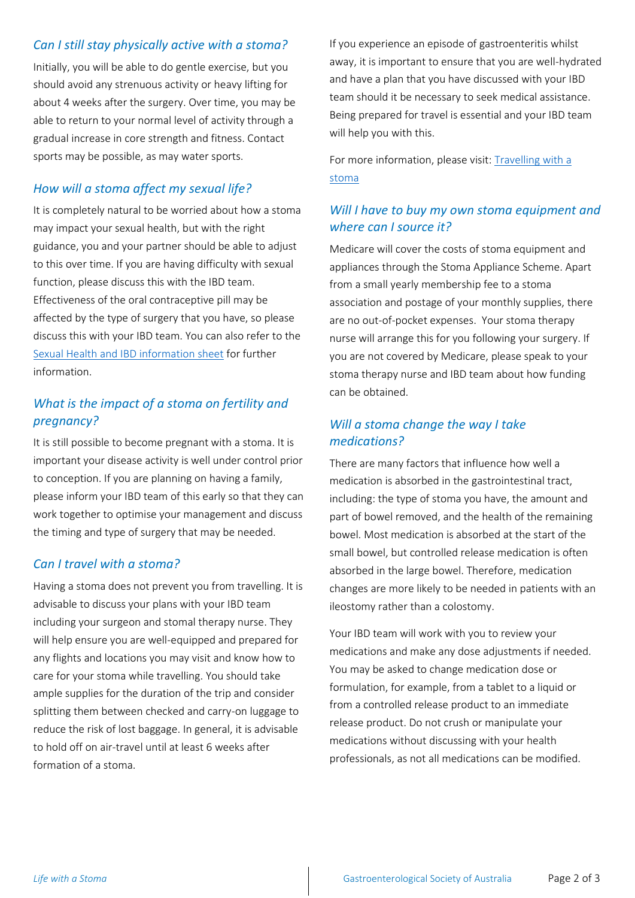#### *Can I still stay physically active with a stoma?*

Initially, you will be able to do gentle exercise, but you should avoid any strenuous activity or heavy lifting for about 4 weeks after the surgery. Over time, you may be able to return to your normal level of activity through a gradual increase in core strength and fitness. Contact sports may be possible, as may water sports.

#### *How will a stoma affect my sexual life?*

It is completely natural to be worried about how a stoma may impact your sexual health, but with the right guidance, you and your partner should be able to adjust to this over time. If you are having difficulty with sexual function, please discuss this with the IBD team. Effectiveness of the oral contraceptive pill may be affected by the type of surgery that you have, so please discuss this with your IBD team. You can also refer to the [Sexual Health and IBD information sheet](https://www.gesa.org.au/education/patient-resources/) for further information.

#### *What is the impact of a stoma on fertility and pregnancy?*

It is still possible to become pregnant with a stoma. It is important your disease activity is well under control prior to conception. If you are planning on having a family, please inform your IBD team of this early so that they can work together to optimise your management and discuss the timing and type of surgery that may be needed.

#### *Can I travel with a stoma?*

Having a stoma does not prevent you from travelling. It is advisable to discuss your plans with your IBD team including your surgeon and stomal therapy nurse. They will help ensure you are well-equipped and prepared for any flights and locations you may visit and know how to care for your stoma while travelling. You should take ample supplies for the duration of the trip and consider splitting them between checked and carry-on luggage to reduce the risk of lost baggage. In general, it is advisable to hold off on air-travel until at least 6 weeks after formation of a stoma.

If you experience an episode of gastroenteritis whilst away, it is important to ensure that you are well-hydrated and have a plan that you have discussed with your IBD team should it be necessary to seek medical assistance. Being prepared for travel is essential and your IBD team will help you with this.

For more information, please visit: [Travelling with a](https://www.stomaltherapy.com/documents/PEP_travelling_with_a_stoma_2017.pdf)  [stoma](https://www.stomaltherapy.com/documents/PEP_travelling_with_a_stoma_2017.pdf)

### *Will I have to buy my own stoma equipment and where can I source it?*

Medicare will cover the costs of stoma equipment and appliances through the Stoma Appliance Scheme. Apart from a small yearly membership fee to a stoma association and postage of your monthly supplies, there are no out-of-pocket expenses. Your stoma therapy nurse will arrange this for you following your surgery. If you are not covered by Medicare, please speak to your stoma therapy nurse and IBD team about how funding can be obtained.

#### *Will a stoma change the way I take medications?*

There are many factors that influence how well a medication is absorbed in the gastrointestinal tract, including: the type of stoma you have, the amount and part of bowel removed, and the health of the remaining bowel. Most medication is absorbed at the start of the small bowel, but controlled release medication is often absorbed in the large bowel. Therefore, medication changes are more likely to be needed in patients with an ileostomy rather than a colostomy.

Your IBD team will work with you to review your medications and make any dose adjustments if needed. You may be asked to change medication dose or formulation, for example, from a tablet to a liquid or from a controlled release product to an immediate release product. Do not crush or manipulate your medications without discussing with your health professionals, as not all medications can be modified.